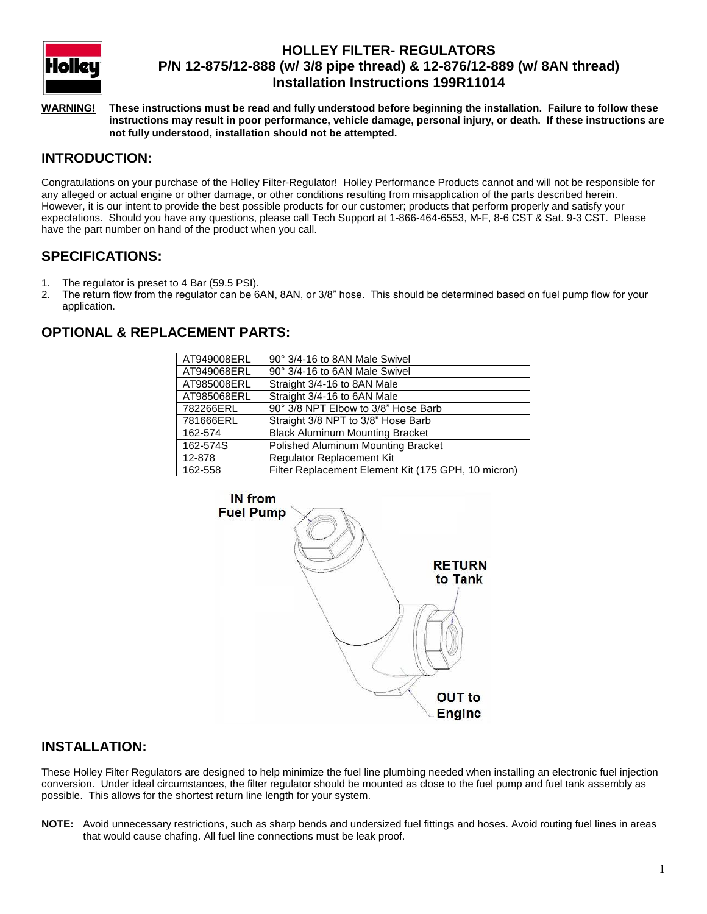

# **HOLLEY FILTER- REGULATORS P/N 12-875/12-888 (w/ 3/8 pipe thread) & 12-876/12-889 (w/ 8AN thread) Installation Instructions 199R11014**

**WARNING! These instructions must be read and fully understood before beginning the installation. Failure to follow these instructions may result in poor performance, vehicle damage, personal injury, or death. If these instructions are not fully understood, installation should not be attempted.**

## **INTRODUCTION:**

Congratulations on your purchase of the Holley Filter-Regulator! Holley Performance Products cannot and will not be responsible for any alleged or actual engine or other damage, or other conditions resulting from misapplication of the parts described herein. However, it is our intent to provide the best possible products for our customer; products that perform properly and satisfy your expectations. Should you have any questions, please call Tech Support at 1-866-464-6553, M-F, 8-6 CST & Sat. 9-3 CST. Please have the part number on hand of the product when you call.

#### **SPECIFICATIONS:**

- 1. The regulator is preset to 4 Bar (59.5 PSI).
- 2. The return flow from the regulator can be 6AN, 8AN, or 3/8" hose. This should be determined based on fuel pump flow for your application.

## **OPTIONAL & REPLACEMENT PARTS:**

| AT949008ERL | 90° 3/4-16 to 8AN Male Swivel                       |
|-------------|-----------------------------------------------------|
| AT949068ERL | 90° 3/4-16 to 6AN Male Swivel                       |
| AT985008ERL | Straight 3/4-16 to 8AN Male                         |
| AT985068ERL | Straight 3/4-16 to 6AN Male                         |
| 782266ERL   | 90° 3/8 NPT Elbow to 3/8" Hose Barb                 |
| 781666ERL   | Straight 3/8 NPT to 3/8" Hose Barb                  |
| 162-574     | <b>Black Aluminum Mounting Bracket</b>              |
| 162-574S    | Polished Aluminum Mounting Bracket                  |
| 12-878      | Regulator Replacement Kit                           |
| 162-558     | Filter Replacement Element Kit (175 GPH, 10 micron) |



#### **INSTALLATION:**

These Holley Filter Regulators are designed to help minimize the fuel line plumbing needed when installing an electronic fuel injection conversion. Under ideal circumstances, the filter regulator should be mounted as close to the fuel pump and fuel tank assembly as possible. This allows for the shortest return line length for your system.

**NOTE:** Avoid unnecessary restrictions, such as sharp bends and undersized fuel fittings and hoses. Avoid routing fuel lines in areas that would cause chafing. All fuel line connections must be leak proof.